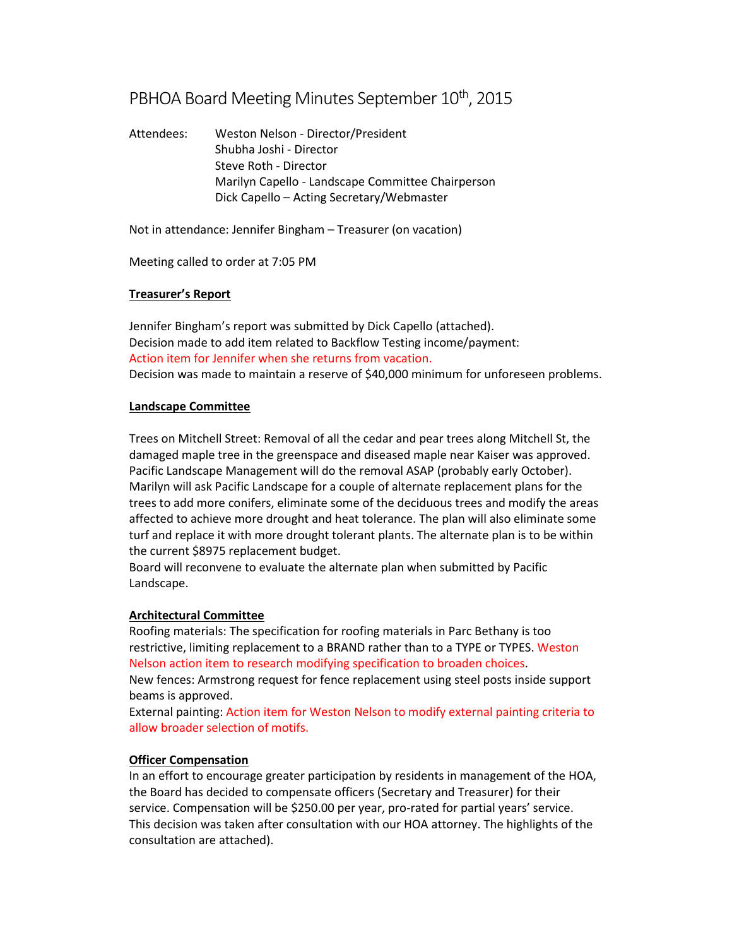# PBHOA Board Meeting Minutes September 10<sup>th</sup>, 2015

Attendees: Weston Nelson - Director/President Shubha Joshi - Director Steve Roth - Director Marilyn Capello - Landscape Committee Chairperson Dick Capello – Acting Secretary/Webmaster

Not in attendance: Jennifer Bingham – Treasurer (on vacation)

Meeting called to order at 7:05 PM

# **Treasurer's Report**

Jennifer Bingham's report was submitted by Dick Capello (attached). Decision made to add item related to Backflow Testing income/payment: Action item for Jennifer when she returns from vacation. Decision was made to maintain a reserve of \$40,000 minimum for unforeseen problems.

#### **Landscape Committee**

Trees on Mitchell Street: Removal of all the cedar and pear trees along Mitchell St, the damaged maple tree in the greenspace and diseased maple near Kaiser was approved. Pacific Landscape Management will do the removal ASAP (probably early October). Marilyn will ask Pacific Landscape for a couple of alternate replacement plans for the trees to add more conifers, eliminate some of the deciduous trees and modify the areas affected to achieve more drought and heat tolerance. The plan will also eliminate some turf and replace it with more drought tolerant plants. The alternate plan is to be within the current \$8975 replacement budget.

Board will reconvene to evaluate the alternate plan when submitted by Pacific Landscape.

# **Architectural Committee**

Roofing materials: The specification for roofing materials in Parc Bethany is too restrictive, limiting replacement to a BRAND rather than to a TYPE or TYPES. Weston Nelson action item to research modifying specification to broaden choices.

New fences: Armstrong request for fence replacement using steel posts inside support beams is approved.

External painting: Action item for Weston Nelson to modify external painting criteria to allow broader selection of motifs.

# **Officer Compensation**

In an effort to encourage greater participation by residents in management of the HOA, the Board has decided to compensate officers (Secretary and Treasurer) for their service. Compensation will be \$250.00 per year, pro-rated for partial years' service. This decision was taken after consultation with our HOA attorney. The highlights of the consultation are attached).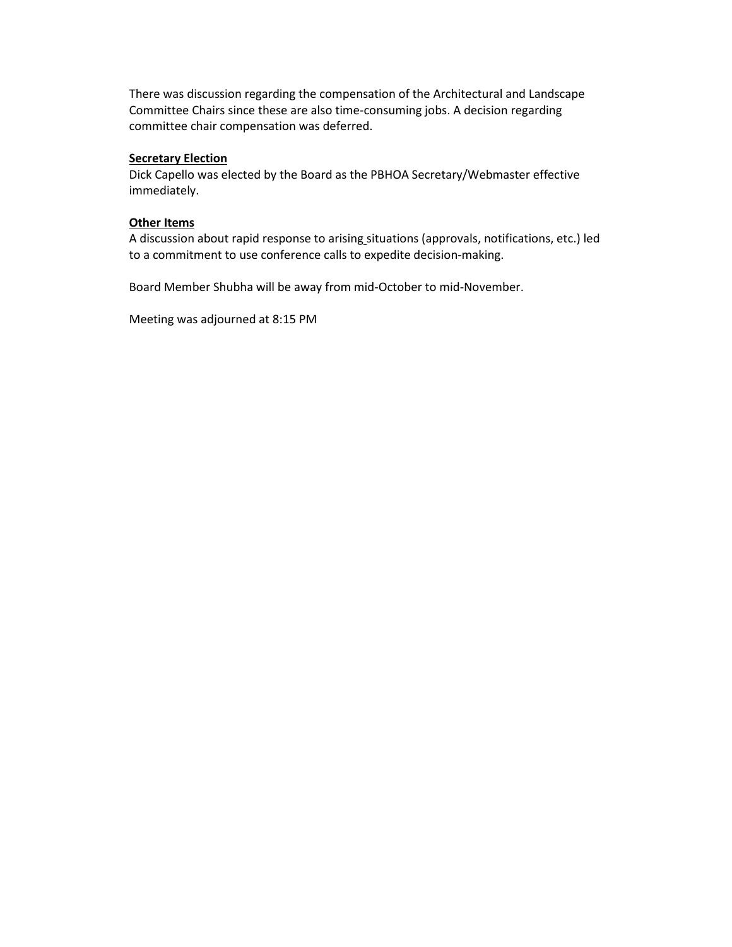There was discussion regarding the compensation of the Architectural and Landscape Committee Chairs since these are also time-consuming jobs. A decision regarding committee chair compensation was deferred.

#### **Secretary Election**

Dick Capello was elected by the Board as the PBHOA Secretary/Webmaster effective immediately.

#### **Other Items**

A discussion about rapid response to arising situations (approvals, notifications, etc.) led to a commitment to use conference calls to expedite decision-making.

Board Member Shubha will be away from mid-October to mid-November.

Meeting was adjourned at 8:15 PM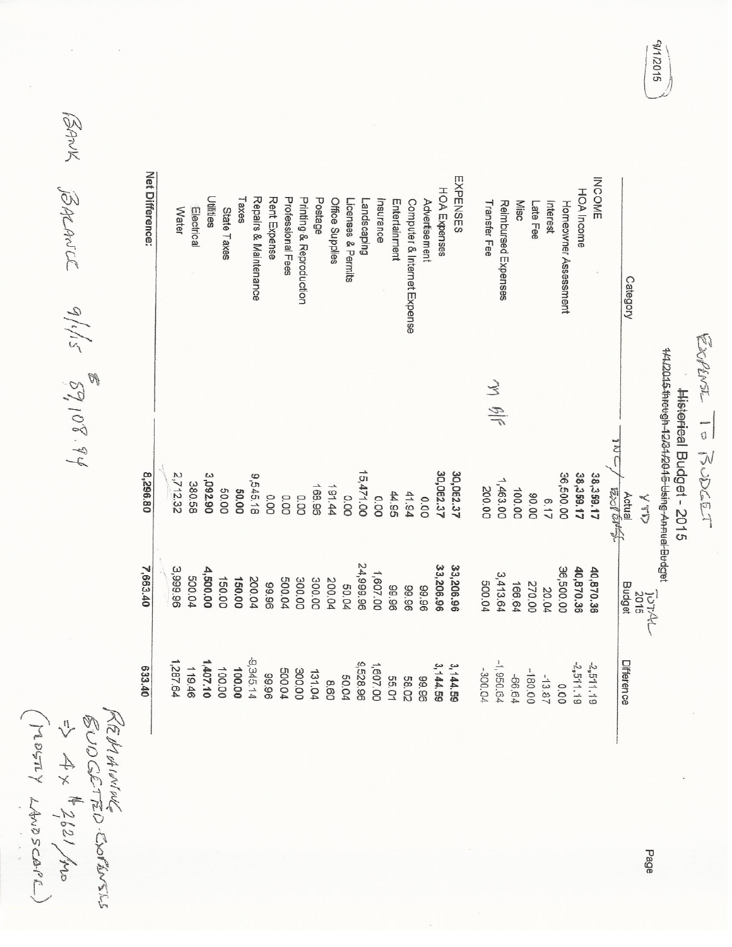| 42501     |                 |                       |                 |
|-----------|-----------------|-----------------------|-----------------|
|           | $4\times$ #2621 | EUD CIETTED COPTINERS | LE IN OA INVINE |
|           |                 |                       |                 |
|           |                 |                       |                 |
| LAWDSCAPE |                 |                       |                 |
|           |                 |                       |                 |

BANK BALANCE 9/1/15 89,108.94

| 633.40       | 7,663.40             | 08'962'8                                                    |                                        | Net Difference:             |
|--------------|----------------------|-------------------------------------------------------------|----------------------------------------|-----------------------------|
| 1,287.64     |                      |                                                             |                                        |                             |
|              | 3,999.96             | 2,712.32                                                    |                                        | Water                       |
| 119.46       | 500.04               | 380.58                                                      |                                        | Electrical                  |
| 1,407.10     | 4,500.00             | 3,092.90                                                    |                                        | <b>Utilities</b>            |
| 100.00       | 150.00               | 50.00                                                       |                                        | State Taxes                 |
| 100.00       | 150.00               | 50.00                                                       |                                        | Taxes                       |
| -9,345.14    | 200.04               | 9,545.18                                                    |                                        | Repairs & Maintenance       |
| 96'66        | 99.96                | 0.00                                                        |                                        | Rent Expense                |
| 500.04       | 500.04               | 0.00                                                        |                                        | Professional Fees           |
| 300.00       | 300.00               | 0.00                                                        |                                        | Printing & Reproduction     |
| 131.04       | 300.00               | 168.96                                                      |                                        | Postage                     |
| 8.60         | 200.04               | 191.44                                                      |                                        | Office Supplies             |
| 50.04        | 50.04                | 0.00                                                        |                                        | Licenses & Permits          |
| 9,528.96     | 24,999.96            | 15,471.00                                                   |                                        | andscaping                  |
| 1,607.00     | 1,607.00             | 0.00                                                        |                                        | Insurance                   |
| 55.01        | 96'66                | 44.95                                                       |                                        | Entertainment               |
| <b>58.02</b> | 96'66                | 41.94                                                       |                                        | Computer & Internet Expense |
| 99.96        | 96'66                | 0.00                                                        |                                        | Advertisement               |
| 3, 144, 59   | 33,206.96            | 30,062.37                                                   |                                        | <b>HOA Expenses</b>         |
| 3,144.59     | 33,206.96            | 30,062.37                                                   |                                        | EXPENSES                    |
| -300.04      | 500.04               | 200.00                                                      |                                        | Transfer Fee                |
| $-1, 950.64$ | 3,413.64             | 1,463.00                                                    | $\breve{\leq}$<br>$\frac{\sqrt{3}}{7}$ | Reimbursed Expenses         |
| +999-        | 166.64               | 100.00                                                      |                                        | Misc                        |
| -180.00      | 270.00               | 90.00                                                       |                                        | Late Fee                    |
| $-13.87$     | 20.04                | 6.17                                                        |                                        | Interest                    |
| 0.00         | 36,500.00            | 36,500.00                                                   |                                        | Homeowner Assessament       |
| $-2,511.19$  | 40,870.36            | 38,359.17                                                   |                                        | HOA Income                  |
| 2,511,19     | 40,870.36            | 38,359.17                                                   |                                        | INCOME                      |
|              |                      | $\frac{1}{2}$<br>Bol bit                                    |                                        |                             |
| Difference   | Budget               | Actual                                                      |                                        | Category                    |
|              | $\frac{10744}{2015}$ |                                                             |                                        |                             |
|              |                      | 14412015 threugh-12/34/2016-bising-An-nual-Budget           |                                        |                             |
|              |                      | Historical Budget - 2015                                    |                                        |                             |
|              |                      | $\sim$ $\frac{1}{2}$ and $\sim$ $\sim$ $\sim$ $\sim$ $\sim$ | ستوفد نقاط مقول ملحف                   |                             |

SI0Z/1/5

Explirat To RUDGET

Page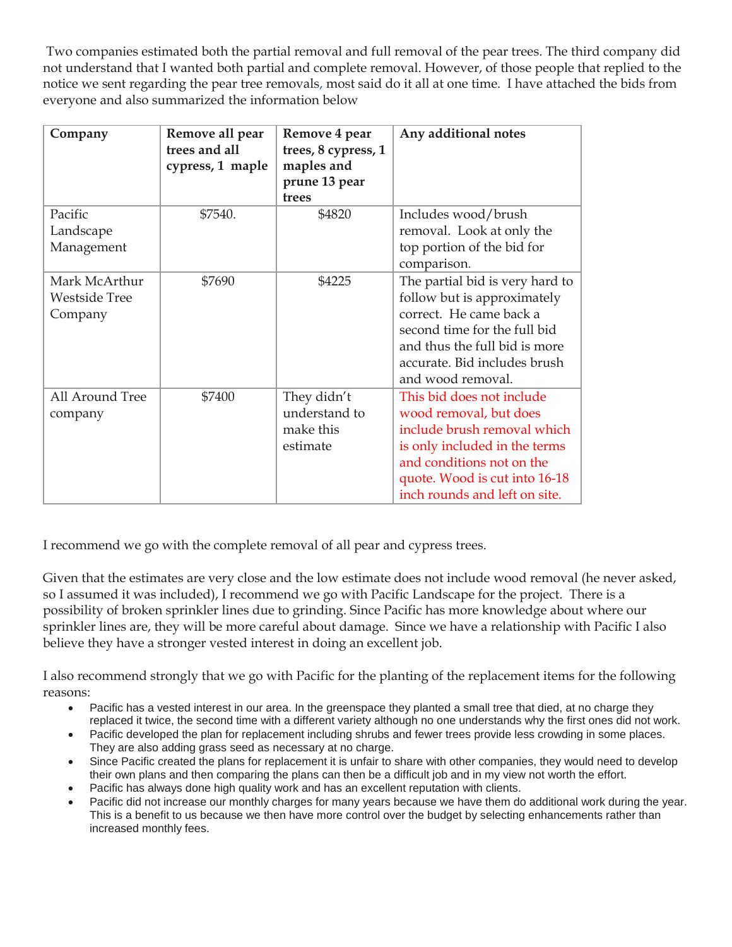Two companies estimated both the partial removal and full removal of the pear trees. The third company did not understand that I wanted both partial and complete removal. However, of those people that replied to the notice we sent regarding the pear tree removals, most said do it all at one time. I have attached the bids from everyone and also summarized the information below

| Company                                          | Remove all pear<br>trees and all<br>cypress, 1 maple | Remove 4 pear<br>trees, 8 cypress, 1<br>maples and<br>prune 13 pear<br>trees | Any additional notes                                                                                                                                                                                               |
|--------------------------------------------------|------------------------------------------------------|------------------------------------------------------------------------------|--------------------------------------------------------------------------------------------------------------------------------------------------------------------------------------------------------------------|
| Pacific<br>Landscape<br>Management               | \$7540.                                              | \$4820                                                                       | Includes wood/brush<br>removal. Look at only the<br>top portion of the bid for<br>comparison.                                                                                                                      |
| Mark McArthur<br><b>Westside Tree</b><br>Company | \$7690                                               | \$4225                                                                       | The partial bid is very hard to<br>follow but is approximately<br>correct. He came back a<br>second time for the full bid<br>and thus the full bid is more<br>accurate. Bid includes brush<br>and wood removal.    |
| All Around Tree<br>company                       | \$7400                                               | They didn't<br>understand to<br>make this<br>estimate                        | This bid does not include<br>wood removal, but does<br>include brush removal which<br>is only included in the terms<br>and conditions not on the<br>quote. Wood is cut into 16-18<br>inch rounds and left on site. |

I recommend we go with the complete removal of all pear and cypress trees.

Given that the estimates are very close and the low estimate does not include wood removal (he never asked, so I assumed it was included), I recommend we go with Pacific Landscape for the project. There is a possibility of broken sprinkler lines due to grinding. Since Pacific has more knowledge about where our sprinkler lines are, they will be more careful about damage. Since we have a relationship with Pacific I also believe they have a stronger vested interest in doing an excellent job.

I also recommend strongly that we go with Pacific for the planting of the replacement items for the following reasons:

- Pacific has a vested interest in our area. In the greenspace they planted a small tree that died, at no charge they replaced it twice, the second time with a different variety although no one understands why the first ones did not work.
- Pacific developed the plan for replacement including shrubs and fewer trees provide less crowding in some places. They are also adding grass seed as necessary at no charge.
- Since Pacific created the plans for replacement it is unfair to share with other companies, they would need to develop their own plans and then comparing the plans can then be a difficult job and in my view not worth the effort.
- Pacific has always done high quality work and has an excellent reputation with clients.
- Pacific did not increase our monthly charges for many years because we have them do additional work during the year. This is a benefit to us because we then have more control over the budget by selecting enhancements rather than increased monthly fees.